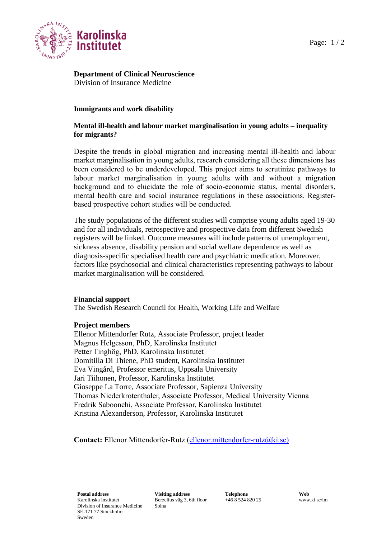

# **Department of Clinical Neuroscience** Division of Insurance Medicine

## **Immigrants and work disability**

### **Mental ill-health and labour market marginalisation in young adults – inequality for migrants?**

Despite the trends in global migration and increasing mental ill-health and labour market marginalisation in young adults, research considering all these dimensions has been considered to be underdeveloped. This project aims to scrutinize pathways to labour market marginalisation in young adults with and without a migration background and to elucidate the role of socio-economic status, mental disorders, mental health care and social insurance regulations in these associations. Registerbased prospective cohort studies will be conducted.

The study populations of the different studies will comprise young adults aged 19-30 and for all individuals, retrospective and prospective data from different Swedish registers will be linked. Outcome measures will include patterns of unemployment, sickness absence, disability pension and social welfare dependence as well as diagnosis-specific specialised health care and psychiatric medication. Moreover, factors like psychosocial and clinical characteristics representing pathways to labour market marginalisation will be considered.

#### **Financial support**

The Swedish Research Council for Health, Working Life and Welfare

# **Project members**

Ellenor Mittendorfer Rutz, Associate Professor, project leader Magnus Helgesson, PhD, Karolinska Institutet Petter Tinghög, PhD, Karolinska Institutet Domitilla Di Thiene, PhD student, Karolinska Institutet Eva Vingård, Professor emeritus, Uppsala University Jari Tiihonen, Professor, Karolinska Institutet Gioseppe La Torre, Associate Professor, Sapienza University Thomas Niederkrotenthaler, Associate Professor, Medical University Vienna Fredrik Saboonchi, Associate Professor, Karolinska Institutet Kristina Alexanderson, Professor, Karolinska Institutet

Contact: Ellenor Mittendorfer-Rutz [\(ellenor.mittendorfer-rutz@ki.se\)](mailto:ellenor.mittendorfer-rutz@ki.se)